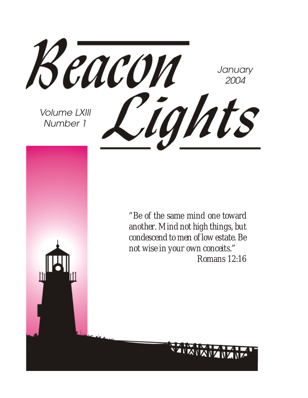Beacon **January** 2004 Cights Volume LXIII Number 1 *"Be of the same mind one toward another. Mind not high things, but condescend to men of low estate. Be not wise in your own conceits." Romans 12:16*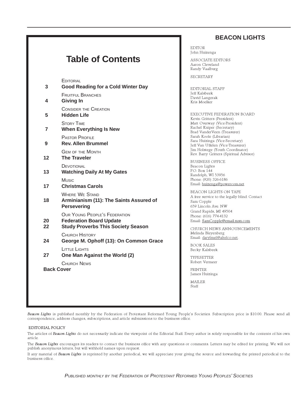#### **BEACON LIGHTS**

### **Table of Contents**

**EDITORIAL** 

| 3                                | <b>Good Reading for a Cold Winter Day</b>                                                                           |
|----------------------------------|---------------------------------------------------------------------------------------------------------------------|
| 4                                | <b>FRUITFUL BRANCHES</b><br><b>Giving In</b>                                                                        |
| 5                                | <b>CONSIDER THE CREATION</b><br><b>Hidden Life</b>                                                                  |
| 7                                | <b>STORY TIME</b><br><b>When Everything Is New</b>                                                                  |
| 9                                | <b>PASTOR PROFILE</b><br><b>Rev. Allen Brummel</b>                                                                  |
| 12                               | <b>GEM OF THE MONTH</b><br><b>The Traveler</b>                                                                      |
| 13                               | DEVOTIONAL<br><b>Watching Daily At My Gates</b>                                                                     |
| 17                               | Music<br><b>Christmas Carols</b>                                                                                    |
| 18                               | <b>WHERE WE STAND</b><br>Arminianism (11): The Saints Assured of<br><b>Persevering</b>                              |
| 20<br>22                         | <b>OUR YOUNG PEOPLE'S FEDERATION</b><br><b>Federation Board Update</b><br><b>Study Proverbs This Society Season</b> |
| 24                               | <b>CHURCH HISTORY</b><br>George M. Ophoff (13): On Common Grace                                                     |
| 27                               | LITTLE LIGHTS<br>One Man Against the World (2)                                                                      |
| CHURCH NEWS<br><b>Back Cover</b> |                                                                                                                     |
|                                  |                                                                                                                     |

EDITOR John Huizenga

ASSOCIATE EDITORS Aaron Cleveland Randy Vaalburg

SECRETARY

EDITORIAL STAFF Jeff Kalsbeek David Langerak Kris Moelker

EXECUTIVE FEDERATION BOARD Kevin Gritters (President) Matt Overway (Vice-President) Rachel Kuiper (Secretary) Brad VanderVeen (Treasurer) Sarah Koole (Librarian) Sara Huizinga (Vice-Secretary) Jeff Van Uffelen (Vice-Treasurer) Jim Holstege (Youth Coordinator) Rev. Barry Gritters (Spiritual Advisor)

BUSINESS OFFICE Beacon Lights P.O. Box 144 Randolph, WI 53956 Phone: (920) 326-6186 Email: huizenga@powercom.net

BEACON LIGHTS ON TAPE A free service to the legally blind. Contact Sam Copple 659 Lincoln Ave. NW Grand Rapids, MI 49504 Phone: (616) 774-4132 Email: SamCopple@email.msn.com

CHURCH NEWS ANNOUNCEMENTS Melinda Bleyenberg Email: darylmel@altelco.net.

BOOK SALES Becky Kalsbeek

TYPESETTER Robert Vermeer

PRINTER James Huizinga

MAILER Staff

Beacon Lights is published monthly by the Federation of Protestant Reformed Young People's Societies. Subscription price is \$10.00. Please send all correspondence, address changes, subscriptions, and article submissions to the business office.

#### EDITORIAL POLICY

The articles of Beacon Lights do not necessarily indicate the viewpoint of the Editorial Staff. Every author is solely responsible for the contents of his own article.

The Beacon Lights encourages its readers to contact the business office with any questions or comments. Letters may be edited for printing. We will not publish anonymous letters, but will withhold names upon request.

If any material of Beacon Lights is reprinted by another periodical, we will appreciate your giving the source and forwarding the printed periodical to the business office.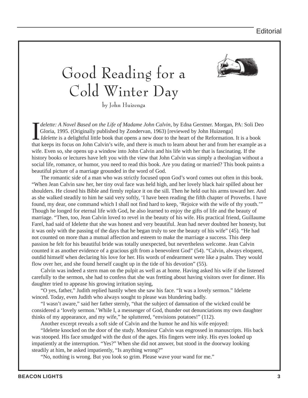

# Good Reading for a Cold Winter Day

by John Huizenga

*delette: A Novel Based on the Life of Madame John Calvin*, by Edna Gerstner. Morgan, PA: Soli Deo Gloria, 1995. (Originally published by Zondervan, 1963) [reviewed by John Huizenga] *Idelette* is a delightful little book *delette: A Novel Based on the Life of Madame John Calvin*, by Edna Gerstner. Morgan, PA: Soli Deo Gloria, 1995. (Originally published by Zondervan, 1963) [reviewed by John Huizenga] *Idelette* is a delightful little book that opens a new door to the heart of the Reformation. It is a book wife. Even so, she opens up a window into John Calvin and his life with her that is fascinating. If the history books or lectures have left you with the view that John Calvin was simply a theologian without a social life, romance, or humor, you need to read this book. Are you dating or married? This book paints a beautiful picture of a marriage grounded in the word of God.

The romantic side of a man who was strictly focused upon God's word comes out often in this book. "When Jean Calvin saw her, her tiny oval face was held high, and her lovely black hair spilled about her shoulders. He closed his Bible and firmly replace it on the sill. Then he held out his arms toward her. And as she walked steadily to him he said very softly, 'I have been reading the fifth chapter of Proverbs. I have found, my dear, one command which I shall not find hard to keep, 'Rejoice with the wife of thy youth.'" Though he longed for eternal life with God, he also learned to enjoy the gifts of life and the beauty of marriage. "Then, too, Jean Calvin loved to revel in the beauty of his wife. His practical friend, Guillaume Farel, had said of Idelette that she was honest and very beautiful. Jean had never doubted her honesty, but it was only with the passing of the days that he began truly to see the beauty of his wife" (45). "He had not counted on more than a mutual affection and esteem to make the marriage a success. This deep passion he felt for his beautiful bride was totally unexpected, but nevertheless welcome. Jean Calvin counted it as another evidence of a gracious gift from a benevolent God" (54). "Calvin, always eloquent, outdid himself when declaring his love for her. His words of endearment were like a psalm. They would flow over her, and she found herself caught up in the tide of his devotion" (55).

Calvin was indeed a stern man on the pulpit as well as at home. Having asked his wife if she listened carefully to the sermon, she had to confess that she was fretting about having visitors over for dinner. His daughter tried to appease his growing irritation saying,

"O yes, father," Judith replied hastily when she saw his face. "It was a lovely sermon." Idelette winced. Today, even Judith who always sought to please was blundering badly.

"I wasn't aware," said her father sternly, "that the subject of damnation of the wicked could be considered a 'lovely sermon.' While I, a messenger of God, thunder out denunciations my own daughter thinks of my appearance, and my wife," he spluttered, "envisions potatoes!" (112).

Another excerpt reveals a soft side of Calvin and the humor he and his wife enjoyed:

"Idelette knocked on the door of the study. Monsieur Calvin was engrossed in manuscripts. His back was stooped. His face smudged with the dust of the ages. His fingers were inky. His eyes looked up impatiently at the interruption. "Yes?" When she did not answer, but stood in the doorway looking steadily at him, he asked impatiently, "Is anything wrong?"

"No, nothing is wrong. But you look so grim. Please wave your wand for me."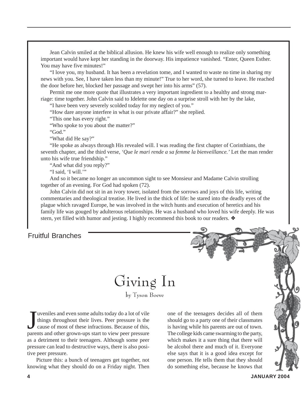Jean Calvin smiled at the biblical allusion. He knew his wife well enough to realize only something important would have kept her standing in the doorway. His impatience vanished. "Enter, Queen Esther. You may have five minutes!"

"I love you, my husband. It has been a revelation tome, and I wanted to waste no time in sharing my news with you. See, I have taken less than my minute!" True to her word, she turned to leave. He reached the door before her, blocked her passage and swept her into his arms" (57).

Permit me one more quote that illustrates a very important ingredient to a healthy and strong marriage: time together. John Calvin said to Idelette one day on a surprise stroll with her by the lake,

"I have been very severely scolded today for my neglect of you."

"How dare anyone interfere in what is our private affair?" she replied.

"This one has every right."

"Who spoke to you about the matter?"

"God."

"What did He say?"

"He spoke as always through His revealed will. I was reading the first chapter of Corinthians, the seventh chapter, and the third verse, *'Que le mari rende a sa femme la bienveillance.'* Let the man render unto his wife true friendship."

"And what did you reply?"

"I said, 'I will."

And so it became no longer an uncommon sight to see Monsieur and Madame Calvin strolling together of an evening. For God had spoken (72).

John Calvin did not sit in an ivory tower, isolated from the sorrows and joys of this life, writing commentaries and theological treatise. He lived in the thick of life: he stared into the deadly eyes of the plague which ravaged Europe, he was involved in the witch hunts and execution of heretics and his family life was gouged by adulterous relationships. He was a husband who loved his wife deeply. He was stern, yet filled with humor and jesting. I highly recommend this book to our readers. ❖

#### Fruitful Branches

Giving In

by Tyson Boeve

J uveniles and even some adults today do a lot of vile<br>things throughout their lives. Peer pressure is the<br>cause of most of these infractions. Because of this,<br>parents and other grown-ups start to view peer pressure uveniles and even some adults today do a lot of vile things throughout their lives. Peer pressure is the cause of most of these infractions. Because of this, as a detriment to their teenagers. Although some peer pressure can lead to destructive ways, there is also positive peer pressure.

Picture this: a bunch of teenagers get together, not knowing what they should do on a Friday night. Then

one of the teenagers decides all of them should go to a party one of their classmates is having while his parents are out of town. The college kids came swarming to the party, which makes it a sure thing that there will be alcohol there and much of it. Everyone else says that it is a good idea except for one person. He tells them that they should do something else, because he knows that

Story Time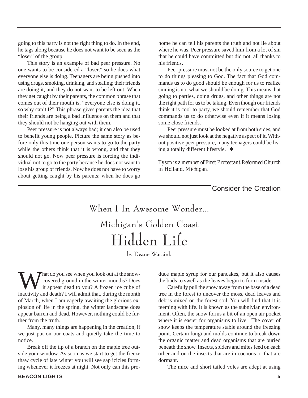going to this party is not the right thing to do. In the end, he tags along because he does not want to be seen as the "loser" of the group.

This story is an example of bad peer pressure. No one wants to be considered a "loser," so he does what everyone else is doing. Teenagers are being pushed into using drugs, smoking, drinking, and stealing; their friends are doing it, and they do not want to be left out. When they get caught by their parents, the common phrase that comes out of their mouth is, "everyone else is doing it, so why can't I?" This phrase gives parents the idea that their friends are being a bad influence on them and that they should not be hanging out with them.

Peer pressure is not always bad; it can also be used to benefit young people. Picture the same story as before only this time one person wants to go to the party while the others think that it is wrong, and that they should not go. Now peer pressure is forcing the individual not to go to the party because he does not want to lose his group of friends. Now he does not have to worry about getting caught by his parents; when he does go

home he can tell his parents the truth and not lie about where he was. Peer pressure saved him from a lot of sin that he could have committed but did not, all thanks to his friends.

Peer pressure must not be the only source to get one to do things pleasing to God. The fact that God commands us to do good should be enough for us to realize sinning is not what we should be doing. This means that going to parties, doing drugs, and other things are not the right path for us to be taking. Even though our friends think it is cool to party, we should remember that God commands us to do otherwise even if it means losing some close friends.

Peer pressure must be looked at from both sides, and we should not just look at the negative aspect of it. Without positive peer pressure, many teenagers could be living a totally different lifestyle. ❖

*\_\_\_\_\_\_\_\_\_\_\_\_\_\_\_\_\_\_\_\_\_\_\_\_\_\_\_\_\_\_\_\_\_\_\_\_\_\_\_\_\_\_\_\_\_\_\_ Tyson is a member of First Protestant Reformed Church in Holland, Michigan.*

Consider the Creation

When I In Awesome Wonder… Michigan's Golden Coast Hidden Life

by Deane Wassink

What do you see when you look out at the snow-<br>covered ground in the winter months? Does<br>it appear dead to you? A frozen ice cube of<br>inactivity and death? I will admit that during the month covered ground in the winter months? Does it appear dead to you? A frozen ice cube of inactivity and death? I will admit that, during the month of March, when I am eagerly awaiting the glorious explosion of life in the spring, the winter landscape does appear barren and dead. However, nothing could be further from the truth.

Many, many things are happening in the creation, if we just put on our coats and quietly take the time to notice.

Break off the tip of a branch on the maple tree outside your window. As soon as we start to get the freeze thaw cycle of late winter you will see sap icicles forming whenever it freezes at night. Not only can this produce maple syrup for our pancakes, but it also causes the buds to swell as the leaves begin to form inside.

Carefully pull the snow away from the base of a dead tree in the forest to uncover the moss, dead leaves and debris mixed on the forest soil. You will find that it is teeming with life. It is known as the subnivian environment. Often, the snow forms a bit of an open air pocket where it is easier for organisms to live. The cover of snow keeps the temperature stable around the freezing point. Certain fungi and molds continue to break down the organic matter and dead organisms that are buried beneath the snow. Insects, spiders and mites feed on each other and on the insects that are in cocoons or that are dormant.

The mice and short tailed voles are adept at using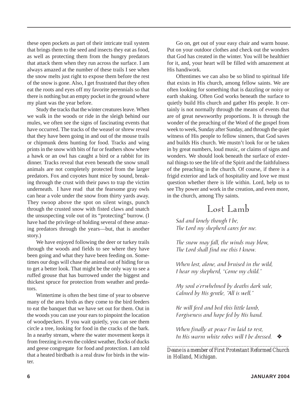these open pockets as part of their intricate trail system that brings them to the seed and insects they eat as food, as well as protecting them from the hungry predators that attack them when they run across the surface. I am always amazed at the number of these trails I see when the snow melts just right to expose them before the rest of the snow is gone. Also, I get frustrated that they often eat the roots and eyes off my favorite perennials so that there is nothing but an empty pocket in the ground where my plant was the year before.

Study the tracks that the winter creatures leave. When we walk in the woods or ride in the sleigh behind our mules, we often see the signs of fascinating events that have occurred. The tracks of the weasel or shrew reveal that they have been going in and out of the mouse trails or chipmunk dens hunting for food. Tracks and wing prints in the snow with bits of fur or feathers show where a hawk or an owl has caught a bird or a rabbit for its dinner. Tracks reveal that even beneath the snow small animals are not completely protected from the larger predators. Fox and coyotes hunt mice by sound, breaking through the crust with their paws to trap the victim underneath. I have read that the fearsome gray owls can hear a vole under the snow from thirty yards away. They swoop above the spot on silent wings, punch through the crusted snow with fisted claws and snatch the unsuspecting vole out of its "protecting" burrow. (I have had the privilege of holding several of these amazing predators through the years—but, that is another story.)

We have enjoyed following the deer or turkey trails through the woods and fields to see where they have been going and what they have been feeding on. Sometimes our dogs will chase the animal out of hiding for us to get a better look. That might be the only way to see a ruffed grouse that has burrowed under the biggest and thickest spruce for protection from weather and predators.

Wintertime is often the best time of year to observe many of the area birds as they come to the bird feeders to eat the banquet that we have set out for them. Out in the woods you can use your ears to pinpoint the location of woodpeckers. If you wait quietly, you can see them circle a tree, looking for food in the cracks of the bark. In a nearby stream, where the water movement keeps it from freezing in even the coldest weather, flocks of ducks and geese congregate for food and protection. I am told that a heated birdbath is a real draw for birds in the winter.

Go on, get out of your easy chair and warm house. Put on your outdoor clothes and check out the wonders that God has created in the winter. You will be healthier for it, and, your heart will be filled with amazement at His handiwork.

Oftentimes we can also be so blind to spiritual life that exists in His church, among fellow saints. We are often looking for something that is dazzling or noisy or earth shaking. Often God works beneath the surface to quietly build His church and gather His people. It certainly is not normally through the means of events that are of great newsworthy proportions. It is through the wonder of the preaching of the Word of the gospel from week to week, Sunday after Sunday, and through the quiet witness of His people to fellow sinners, that God saves and builds His church. We mustn't look for or be taken in by great numbers, loud music, or claims of signs and wonders. We should look beneath the surface of external things to see the life of the Spirit and the faithfulness of the preaching in the church. Of course, if there is a frigid exterior and lack of hospitality and love we must question whether there is life within. Lord, help us to see Thy power and work in the creation, and even more, in the church, among Thy saints.

### Lost Lamb

Sad and lonely though I be, The Lord my shepherd cares for me.

The snow may fall, the winds may blow, The Lord shall find me this I know.

When lost, alone, and bruised in the wild, I hear my shepherd, "Come my child."

My soul o'erwhelmed by deaths dark vale, Calmed by His gentle, "All is well."

He will feed and bed this little lamb, Forgiveness and hope fed by His hand.

When finally at peace I'm laid to rest, In His warm white robes will I be dressed.  $\bullet$ 

*\_\_\_\_\_\_\_\_\_\_\_\_\_\_\_\_\_\_\_\_\_\_\_\_\_\_\_\_\_\_\_\_\_\_\_\_\_\_\_\_\_\_\_\_\_\_ Deane is a member of First Protestant Reformed Church in Holland, Michigan.*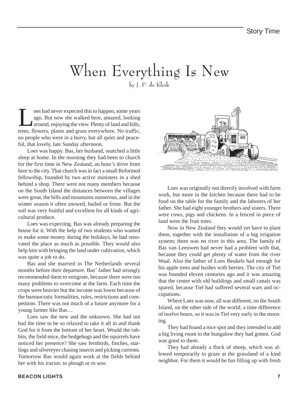### When Everything Is New by J. P. de Klerk

T<br>
loes had never expected this to happen, some years<br>
ago. But now she walked here, amazed, looking<br>
around, enjoying the view. Plenty of land and hills,<br>
trees flowers, plants and grass everywhere. No traffic ago. But now she walked here, amazed, looking around, enjoying the view. Plenty of land and hills, trees, flowers, plants and grass everywhere. No traffic, no people who were in a hurry, but all quiet and peaceful, that lovely, late Sunday afternoon.

Loes was happy. Bas, her husband, snatched a little sleep at home. In the morning they had been to church for the first time in New Zealand, an hour's drive from here to the city. That church was in fact a small Reformed fellowship, founded by two active ministers in a shed behind a shop. There were not many members because on the South Island the distances between the villages were great, the hills and mountains numerous, and in the winter season it often snowed, hailed or froze. But the soil was very fruitful and excellent for all kinds of agricultural produce.

Loes was expecting. Bas was already preparing the house for it. With the help of two students who wanted to make some money during the holidays, he had renovated the place as much as possible. They would also help him with bringing the land under cultivation, which was quite a job to do.

Bas and she married in The Netherlands several months before their departure. Bas' father had strongly recommended them to emigrate, because there were too many problems to overcome at the farm. Each time the crops were heavier but the income was lower because of the bureaucratic formalities, rules, restrictions and competition. There was not much of a future anymore for a young farmer like Bas…

Loes saw the new and the unknown. She had not had the time to be so relaxed to take it all in and thank God for it from the bottom of her heart. Would the rabbits, the field mice, the hedgehogs and the squirrels have noticed her presence? She saw fernbirds, finches, starlings and silvereyes chasing insects and picking currents. Tomorrow Bas would again work at the fields behind her with his tractor, to plough or to sow.



Loes was originally not directly involved with farm work, but more in the kitchen because there had to be food on the table for the family and the laborers of her father. She had eight younger brothers and sisters. There were cows, pigs and chickens. In a fenced in piece of land were the fruit trees.

Now in New Zealand they would yet have to plant them, together with the installation of a big irrigation system; there was no river in this area. The family of Bas van Leeuwen had never had a problem with that, because they could get plenty of water from the river Waal. Also the father of Loes Beukels had enough for his apple trees and bushes with berries. The city of Tiel was founded eleven centuries ago and it was amazing that the center with old buildings and small canals was spared, because Tiel had suffered several wars and occupations.

Where Loes was now, all was different, on the South Island, on the other side of the world; a time difference of twelve hours, so it was in Tiel very early in the morning.

They had found a nice spot and they intended to add a big living room to the bungalow they had gotten. God was good to them.

They had already a flock of sheep, which was allowed temporarily to graze at the grassland of a kind neighbor. For them it would be fun filling up with fresh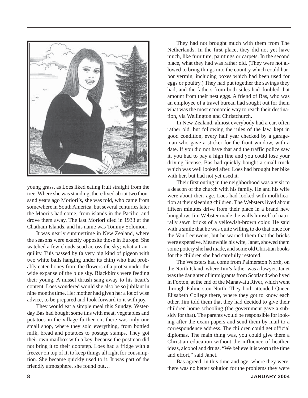

young grass, as Loes liked eating fruit straight from the tree. Where she was standing, there lived about two thousand years ago Moriori's, she was told, who came from somewhere in South America, but several centuries later the Maori's had come, from islands in the Pacific, and drove them away. The last Moriori died in 1933 at the Chatham Islands, and his name was Tommy Solomon.

It was nearly summertime in New Zealand, where the seasons were exactly opposite those in Europe. She watched a few clouds scud across the sky; what a tranquility. Tuis passed by (a very big kind of pigeon with two white balls hanging under its chin) who had probably eaten honey from the flowers of a protea under the wide expanse of the blue sky. Blackbirds were feeding their young. A missel thrush sang away to his heart's content. Loes wondered would she also be so jubilant in nine months time. Her mother had given her a lot of wise advice, to be prepared and look forward to it with joy.

They would eat a simple meal this Sunday. Yesterday Bas had bought some tins with meat, vegetables and potatoes in the village further on; there was only one small shop, where they sold everything, from bottled milk, bread and potatoes to postage stamps. They got their own mailbox with a key, because the postman did not bring it to their doorstep. Loes had a fridge with a freezer on top of it, to keep things all right for consumption. She became quickly used to it. It was part of the friendly atmosphere, she found out…

They had not brought much with them from The Netherlands. In the first place, they did not yet have much, like furniture, paintings or carpets. In the second place, what they had was rather old. (They were not allowed to bring things into the country which could harbor vermin, including boxes which had been used for eggs or poultry.) They had put together the savings they had, and the fathers from both sides had doubled that amount from their nest eggs. A friend of Bas, who was an employee of a travel bureau had sought out for them what was the most economic way to reach their destination, via Wellington and Christchurch.

In New Zealand, almost everybody had a car, often rather old, but following the rules of the law, kept in good condition, every half year checked by a garageman who gave a sticker for the front window, with a date. If you did not have that and the traffic police saw it, you had to pay a high fine and you could lose your driving license. Bas had quickly bought a small truck which was well looked after. Loes had brought her bike with her, but had not yet used it.

Their first outing in the neighborhood was a visit to a deacon of the church with his family. He and his wife were about their age. Loes had looked with mollification at their sleeping children. The Websters lived about fifteen minutes drive from their place in a brand new bungalow. Jim Webster made the walls himself of naturally sawn bricks of a yellowish-brown color. He said with a smile that he was quite willing to do that once for the Van Leeuwens, but he warned them that the bricks were expensive. Meanwhile his wife, Janet, showed them some pottery she had made, and some old Christian books for the children she had carefully restored.

The Websters had come from Palmerston North, on the North Island, where Jim's father was a lawyer. Janet was the daughter of immigrants from Scotland who lived in Foxton, at the end of the Manawatu River, which went through Palmerston North. They both attended Queen Elisabeth College there, where they got to know each other. Jim told them that they had decided to give their children home schooling (the government gave a subsidy for that). The parents would be responsible for looking after the exam papers and send them by mail to a correspondence address. The children could get official diplomas. The main thing was, you could give them a Christian education without the influence of heathen ideas, alcohol and drugs. "We believe it is worth the time and effort," said Janet.

Bas agreed, in this time and age, where they were, there was no better solution for the problems they were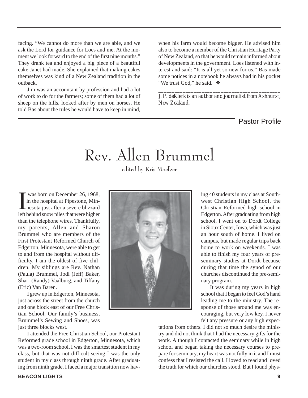facing. "We cannot do more than we are able, and we ask the Lord for guidance for Loes and me. At the moment we look forward to the end of the first nine months." They drank tea and enjoyed a big piece of a beautiful cake Janet had made. She explained that making cakes themselves was kind of a New Zealand tradition in the outback.

Jim was an accountant by profession and had a lot of work to do for the farmers; some of them had a lot of sheep on the hills, looked after by men on horses. He told Bas about the rules he would have to keep in mind,

when his farm would become bigger. He advised him also to become a member of the Christian Heritage Party of New Zealand, so that he would remain informed about developments in the government. Loes listened with interest and said: "It is all yet so new for us." Bas made some notices in a notebook he always had in his pocket "We trust God," he said. ❖

*\_\_\_\_\_\_\_\_\_\_\_\_\_\_\_\_\_\_\_\_\_\_\_\_\_\_\_\_\_\_\_\_\_\_\_\_\_\_\_\_\_\_\_\_\_ J. P. deKlerk is an author and journalist from Ashhurst, New Zealand.*

Pastor Profile

# Rev. Allen Brummel

edited by Kris Moelker

I was born on December 26, 1968,<br>in the hospital at Pipestone, Min-<br>nesota just after a severe blizzard<br>left behind snow piles that were higher was born on December 26, 1968, in the hospital at Pipestone, Minnesota just after a severe blizzard than the telephone wires. Thankfully, my parents, Allen and Sharon Brummel who are members of the First Protestant Reformed Church of Edgerton, Minnesota, were able to get to and from the hospital without difficulty. I am the oldest of five children. My siblings are Rev. Nathan (Paula) Brummel, Jodi (Jeff) Baker, Shari (Randy) Vaalburg, and Tiffany (Eric) Van Baren.

I grew up in Edgerton, Minnesota, just across the street from the church and one block east of our Free Christian School. Our family's business, Brummel's Sewing and Shoes, was just three blocks west.



ing 40 students in my class at Southwest Christian High School, the Christian Reformed high school in Edgerton. After graduating from high school, I went on to Dordt College in Sioux Center, Iowa, which was just an hour south of home. I lived on campus, but made regular trips back home to work on weekends. I was able to finish my four years of preseminary studies at Dordt because during that time the synod of our churches discontinued the pre-seminary program.

It was during my years in high school that I began to feel God's hand leading me to the ministry. The response of those around me was encouraging, but very low key. I never felt any pressure or any high expec-

I attended the Free Christian School, our Protestant Reformed grade school in Edgerton, Minnesota, which was a two-room school. I was the smartest student in my class, but that was not difficult seeing I was the only student in my class through ninth grade. After graduating from ninth grade, I faced a major transition now havtations from others. I did not so much desire the ministry and did not think that I had the necessary gifts for the work. Although I contacted the seminary while in high school and began taking the necessary courses to prepare for seminary, my heart was not fully in it and I must confess that I resisted the call. I loved to read and loved the truth for which our churches stood. But I found phys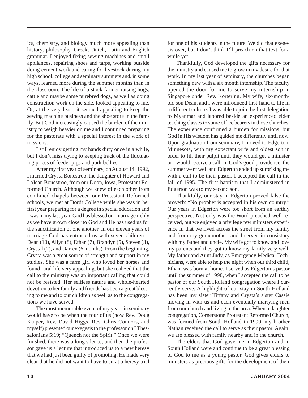ics, chemistry, and biology much more appealing than history, philosophy, Greek, Dutch, Latin and English grammar. I enjoyed fixing sewing machines and small appliances, repairing shoes and tarps, working outside doing cement work and caring for livestock during my high school, college and seminary summers and, in some ways, learned more during the summer months than in the classroom. The life of a stock farmer raising hogs, cattle and maybe some purebred dogs, as well as doing construction work on the side, looked appealing to me. Or, at the very least, it seemed appealing to keep the sewing machine business and the shoe store in the family. But God increasingly caused the burden of the ministry to weigh heavier on me and I continued preparing for the pastorate with a special interest in the work of missions.

I still enjoy getting my hands dirty once in a while, but I don't miss trying to keeping track of the fluctuating prices of feeder pigs and pork bellies.

After my first year of seminary, on August 14, 1992, I married Crysta Bonestroo, the daughter of Howard and LaJean Bonestroo, from our Doon, Iowa, Protestant Reformed Church. Although we knew of each other from combined chapels between our Protestant Reformed schools, we met at Dordt College while she was in her first year preparing for a degree in special education and I was in my last year. God has blessed our marriage richly as we have grown closer to God and He has used us for the sanctification of one another. In our eleven years of marriage God has entrusted us with seven children— Dean (10), Allyn (8), Ethan (7), Brandyn (5), Steven (3), Crystal (2), and Darren (6 months). From the beginning, Crysta was a great source of strength and support in my studies. She was a farm girl who loved her horses and found rural life very appealing, but she realized that the call to the ministry was an important calling that could not be resisted. Her selfless nature and whole-hearted devotion to her family and friends has been a great blessing to me and to our children as well as to the congregations we have served.

The most memorable event of my years in seminary would have to be when the four of us (now Rev. Doug Kuiper, Rev. David Higgs, Rev. Chris Connors, and myself) presented our exegesis to the professor on I Thessalonians 5:19; "Quench not the Spirit." Once we were finished, there was a long silence, and then the professor gave us a lecture that introduced us to a new heresy that we had just been guilty of promoting. He made very clear that he did not want to have to sit at a heresy trial for one of his students in the future. We did that exegesis over, but I don't think I'll preach on that text for a while yet.

Thankfully, God developed the gifts necessary for the ministry and caused me to grow in my desire for that work. In my last year of seminary, the churches began something new with a six month internship. The faculty opened the door for me to serve my internship in Singapore under Rev. Kortering. My wife, six-monthold son Dean, and I were introduced first-hand to life in a different culture. I was able to join the first delegation to Myanmar and labored beside an experienced elder teaching classes to some office bearers in those churches. The experience confirmed a burden for missions, but God in His wisdom has guided me differently until now. Upon graduation from seminary, I moved to Edgerton, Minnesota, with my expectant wife and oldest son in order to fill their pulpit until they would get a minister or I would receive a call. In God's good providence, the summer went well and Edgerton ended up surprising me with a call to be their pastor. I accepted the call in the fall of 1995. The first baptism that I administered in Edgerton was to my second son.

Thankfully, our stay in Edgerton proved false the proverb: "No prophet is accepted in his own country." Our years in Edgerton were too short from an earthly perspective. Not only was the Word preached well received, but we enjoyed a privilege few ministers experience in that we lived across the street from my family and from my grandmother, and I served in consistory with my father and uncle. My wife got to know and love my parents and they got to know my family very well. My father and Aunt Judy, as Emergency Medical Technicians, were able to help the night when our third child, Ethan, was born at home. I served as Edgerton's pastor until the summer of 1998, when I accepted the call to be pastor of our South Holland congregation where I currently serve. A highlight of our stay in South Holland has been my sister Tiffany and Crysta's sister Cassie moving in with us and each eventually marrying men from our church and living in the area. When a daughter congregation, Cornerstone Protestant Reformed Church, was formed from South Holland in 1999, my brother Nathan received the call to serve as their pastor. Again, we are blessed with family nearby and in the church.

The elders that God gave me in Edgerton and in South Holland were and continue to be a great blessing of God to me as a young pastor. God gives elders to ministers as precious gifts for the development of their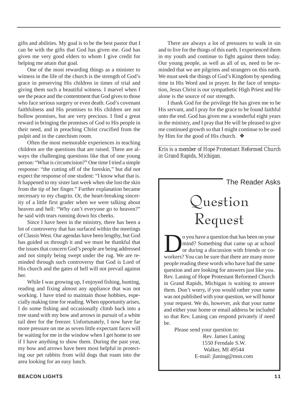gifts and abilities. My goal is to be the best pastor that I can be with the gifts that God has given me. God has given me very good elders to whom I give credit for helping me attain that goal.

One of the most rewarding things as a minister to witness in the life of the church is the strength of God's grace in preserving His children in times of trial and giving them such a beautiful witness. I marvel when I see the peace and the contentment that God gives to those who face serious surgery or even death. God's covenant faithfulness and His promises to His children are not hollow promises, but are very precious. I find a great reward in bringing the promises of God to His people in their need, and in preaching Christ crucified from the pulpit and in the catechism room.

Often the most memorable experiences in teaching children are the questions that are raised. There are always the challenging questions like that of one young person: "What is circumcision?" One time I tried a simple response: "the cutting off of the foreskin," but did not expect the response of one student: "I know what that is. It happened to my sister last week when she lost the skin from the tip of her finger." Further explanation became necessary to my chagrin. Or, the heart-breaking sincerity of a little first grader when we were talking about heaven and hell: "Why can't everyone go to heaven?" he said with tears running down his cheeks.

Since I have been in the ministry, there has been a lot of controversy that has surfaced within the meetings of Classis West. Our agendas have been lengthy, but God has guided us through it and we must be thankful that the issues that concern God's people are being addressed and not simply being swept under the rug. We are reminded through such controversy that God is Lord of His church and the gates of hell will not prevail against her.

While I was growing up, I enjoyed fishing, hunting, reading and fixing almost any appliance that was not working. I have tried to maintain those hobbies, especially making time for reading. When opportunity arises, I do some fishing and occasionally climb back into a tree stand with my bow and arrows in pursuit of a white tail deer for the freezer. Unfortunately, I now have far more pressure on me as seven little expectant faces will be waiting for me in the window when I get home to see if I have anything to show them. During the past year, my bow and arrows have been most helpful in protecting our pet rabbits from wild dogs that roam into the area looking for an easy lunch.

There are always a lot of pressures to walk in sin and to live for the things of this earth. I experienced them in my youth and continue to fight against them today. Our young people, as well as all of us, need to be reminded that we are pilgrims and strangers on this earth. We must seek the things of God's Kingdom by spending time in His Word and in prayer. In the face of temptation, Jesus Christ is our sympathetic High Priest and He alone is the source of our strength.

I thank God for the privilege He has given me to be His servant, and I pray for the grace to be found faithful unto the end. God has given me a wonderful eight years in the ministry, and I pray that He will be pleased to give me continued growth so that I might continue to be used by Him for the good of His church. ❖

*\_\_\_\_\_\_\_\_\_\_\_\_\_\_\_\_\_\_\_\_\_\_\_\_\_\_\_\_\_\_\_\_\_\_\_\_\_\_\_\_\_\_\_\_\_\_\_\_\_ Kris is a member of Hope Protestant Reformed Church in Grand Rapids, Michigan.*



Rev. James Laning 1550 Ferndale S.W. Walker, MI 49544 E-mail: jlaning@msn.com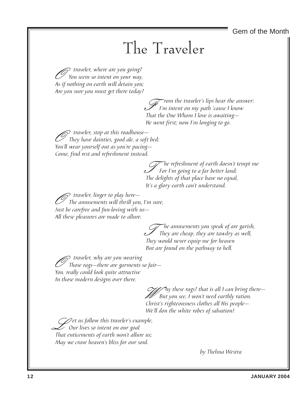Gem of the Month

### The Traveler

 $\mathcal P$  traveler, where are you going? You seem so intent on your way, As if nothing on earth will detain you; Are you sure you must get there today?

> From the traveler's lips hear the answer:<br>I'm intent on my path 'cause I know<br>That the Que Whem I love is avaiting That the One Whom I love is awaiting— He went first; now I'm longing to go.

O traveler, stop at this roadhouse— They have dainties, good ale, a soft bed; You'll wear yourself out as you're pacing— Come, find rest and refreshment instead.

> The refreshment of earth doesn't tempt me $\,$ For I'm going to a far better land; The delights of that place have no equal, It's a glory earth can't understand.

O traveler, linger to play here— The amusements will thrill you, I'm sure, Just be carefree and fun-loving with us— All these pleasures are made to allure.

> The amusements you speak of are garish,<br>They are cheap, they are tawdry as well,<br>They would naver equin up for howen. They would never equip me for heaven But are found on the pathway to hell.

O traveler, why are you wearing Those rags—there are garments so fair— You. really could look quite attractive In those modern designs over there.

> $\mathcal{C}$ hy these rags? that is all I can bring there— But you see, I won't need earthly ration. Christ's righteousness clothes all His people— We'll don the white robes of salvation!

 $\mathscr{D}$ et us follow this traveler's example, Our lives so intent on our goal That enticements of earth won't allure us; May we crave heaven's bliss for our soul.

by Thelma Westra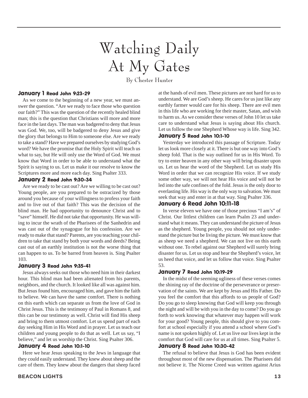# Watching Daily At My Gates

By Chester Hunter

#### January 1 Read John 9:23-29

As we come to the beginning of a new year, we must answer the question. "Are we ready to face those who question our faith?" This was the question of the recently healed blind man; this is the question that Christians will more and more face in the last days. The man was badgered to deny that Jesus was God. We, too, will be badgered to deny Jesus and give the glory that belongs to Him to someone else. Are we ready to take a stand? Have we prepared ourselves by studying God's word? We have the promise that the Holy Spirit will teach us what to say, but He will only use the Word of God. We must know that Word in order to be able to understand what the Spirit is saying to us. Let us make it our resolve to know the Scriptures more and more each day. Sing Psalter 333.

#### January 2 Read John 9:30-34

Are we ready to be cast out? Are we willing to be cast out? Young people, are you prepared to be ostracized by those around you because of your willingness to profess your faith and to live out of that faith? This was the decision of the blind man. He had opportunity to denounce Christ and to "save" himself. He did not take that opportunity. He was willing to incur the wrath of the Pharisees of the Sanhedrin and was cast out of the synagogue for his confession. Are we ready to make that stand? Parents, are you teaching your children to take that stand by both your words and deeds? Being cast out of an earthly institution is not the worse thing that can happen to us. To be barred from heaven is. Sing Psalter 103.

#### January 3 Read John 9:35-41

Jesus always seeks out those who need him in their darkest hour. This blind man had been alienated from his parents, neighbors, and the church. It looked like all was against him. But Jesus found him, encouraged him, and gave him the faith to believe. We can have the same comfort. There is nothing on this earth which can separate us from the love of God in Christ Jesus. This is the testimony of Paul in Romans 8, and this can be our testimony as well. Christ will find His sheep and bring to them utmost comfort. Let us spend part of each day seeking Him in His Word and in prayer. Let us teach our children and young people to do that as well. Let us say, "I believe," and let us worship the Christ. Sing Psalter 306.

#### January 4 Read John 10:1-10

Here we hear Jesus speaking to the Jews in language that they could easily understand. They knew about sheep and the care of them. They knew about the dangers that sheep faced

at the hands of evil men. These pictures are not hard for us to understand. We are God's sheep. He cares for us just like any earthly farmer would care for his sheep. There are evil men in this life who are working for their master, Satan, and wish to harm us. As we consider these verses of John 10 let us take care to understand what Jesus is saying about His church. Let us follow the one Shepherd Whose way is life. Sing 342.

#### January 5 Read John 10:1-10

Yesterday we introduced this passage of Scripture. Today let us look more closely at it. There is but one way into God's sheep fold. That is the way outlined for us in His Word. To try to enter heaven in any other way will bring disaster upon us. Let us hear the word of the Shepherd. Let us study His Word in order that we can recognize His voice. If we study some other way, we will not hear His voice and will not be led into the safe confines of the fold. Jesus is the only door to everlasting life. His way is the only way to salvation. We must seek that way and enter in at that way. Sing Psalter 336.

#### January 6 Read John 10:11-18

In verse eleven we have one of those precious "I am's" of Christ. Our littlest children can learn Psalm 23 and understand what it means. They can understand the picture of Jesus as the shepherd. Young people, you should not only understand the picture but be living the picture. We must know that as sheep we need a shepherd. We can not live on this earth without one. To rebel against our Shepherd will surely bring disaster for us. Let us stop and hear the Shepherd's voice, let us heed that voice, and let us follow that voice. Sing Psalter 53.

#### January 7 Read John 10:19-29

In the midst of the seeming ugliness of these verses comes the shining ray of the doctrine of the perseverance or preservation of the saints. We are kept by Jesus and His Father. Do you feel the comfort that this affords to us people of God? Do you go to sleep knowing that God will keep you through the night and will be with you in the day to come? Do you go forth to work knowing that whatever may happen will work for your good? Young people, this should give to you comfort at school especially if you attend a school where God's name is not spoken highly of. Let us live our lives kept in the comfort that God will care for us at all times. Sing Psalter 5.

#### January 8 Read John 10:30-42

The refusal to believe that Jesus is God has been evident throughout most of the new dispensation. The Pharisees did not believe it. The Nicene Creed was written against Arius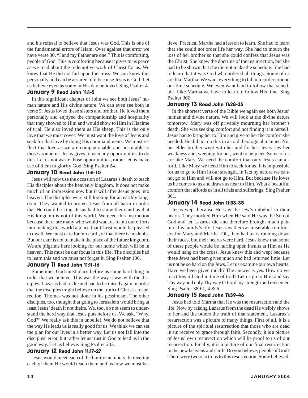and his refusal to believe that Jesus was God. This is one of the fundamental errors of Islam. Over against that error we have verse 30. "I and my Father are one." This is comforting, people of God. This is comforting because it gives to us peace as we read about the redemptive work of Christ for us. We know that He did not fail upon the cross. We can know this personally and can be assured of it because Jesus is God. Let us believe even as some in His day believed. Sing Psalter 4.

#### January 9 Read John 11:1-5

In this significant chapter of John we see both Jesus' human nature and His divine nature. We can even see both in verse 5. Jesus loved these sisters and brother. He loved them personally and enjoyed the companionship and hospitality that they showed to Him and would show to Him in His time of trial. He also loved them as His sheep. This is the only love that we must covet! We must want the love of Jesus and seek for that love by doing His commandments. We must reflect that love as we are companionable and hospitable to those around us. Jesus gives to us many opportunities to do this. Let us not waste those opportunities, rather let us make use of them to glorify God. Sing Psalter 24.

#### January 10 Read John 11:6-10

Jesus will now use the occasion of Lazarus's death to teach His disciples about the heavenly kingdom. It does not make much of an impression now but it will after Jesus goes into heaven. The disciples were still looking for an earthly kingdom. They wanted to protect Jesus from all harm in order that He could be king. Jesus had to show them and us that His kingdom is not of this world. We need this instruction because there are many who would want us to put our efforts into making this world a place that Christ would be pleased to dwell. We must care for our earth, of that there is no doubt. But our care is not to make it the place of the future kingdom. We are pilgrims here looking for our home which will be in heaven. This must be our focus in this life. The disciples had to learn this and we must not forget it. Sing Psalter 106.

#### January 11 Read John 11:11-16

Sometimes God must place before us some hard thing in order that we believe. This was the way it was with the disciples. Lazarus had to die and had to be raised again in order that the disciples might believe on the truth of Christ's resurrection. Thomas was not alone in his pessimism. The other disciples, too, thought that going to Jerusalem would bring at least Jesus' death if not theirs. We, too, do not seem to understand the hard way that Jesus puts before us. We ask, "Why, God?" We really ask this in unbelief. We do not believe that the way He leads us is really good for us. We think we can set the plan for our lives in a better way. Let us not fall into the disciples' error, but rather let us trust in God to lead us in the good way. Let us believe. Sing Psalter 202.

#### January 12 Read John 11:17-27

Jesus would meet each of the family members. In meeting each of them He would teach them and us how we must believe. Practical Martha had a lesson to learn. She had to learn that she could not order life her way. She had to mourn the loss of her brother so that she could confess that Jesus was the Christ. She knew the doctrine of the resurrection, but she had to be shown that she did not make the schedule. She had to learn that it was God who ordered all things. Some of us are like Martha. We want everything to fall into order around our time schedule. We even want God to follow that schedule. Like Martha we have to learn to follow His time. Sing Psalter 366.

#### January 13 Read John 11:28-35

In the shortest verse of the Bible we again see both Jesus' human and divine nature. We will look at the divine nature tomorrow. Mary was off privately mourning her brother's death. She was seeking comfort and not finding it in herself. Jesus had to bring her to Him and give to her the comfort she needed. He did not do this in a cold theological manner. No, her elder brother wept with her and for her. Jesus saw her weakness and, weeping for her, went to help her. Some of us are like Mary. We need the comfort that only Jesus can afford. Like Mary we need Him to seek for us. It is impossible for us to go to Him in our strength. In fact by nature we cannot go to Him and will not go to Him. But because He loves us he comes to us and draws us near to Him. What a beautiful comfort that affords us in all trials and sufferings! Sing Psalter 361.

#### January 14 Read John 11:33-38

Jesus wept because He saw the Jew's unbelief in their hearts. They mocked Him when He said He was the Son of God and let Lazarus die and therefore brought much pain into this family's life. Jesus saw them as miserable comforters for Mary and Martha. Oh, they had tears running down their faces, but their hearts were hard. Jesus knew that some of these people would be hurling open insults at Him as He would hang on the cross. Jesus knew this and wept because these Jews had been given much and had returned little. Let us not be so hard on the Jews. Let us examine our own hearts. Have we been given much? The answer is yes. How do we react toward God in time of trial? Let us go to Him and say Thy way and only Thy way O Lord my strength and redeemer. Sing Psalter 389:1, 4 & 6.

#### January 15 Read John 11:39-46

Jesus had told Martha that He was the resurrection and the life. Now by raising Lazarus from the dead He visibly shows to her and the others the truth of that statement. Lazarus's resurrection was a picture of many things. First of all, it is a picture of the spiritual resurrection that those who are dead in sin receive by grace through faith. Secondly, it is a picture of Jesus' own resurrection which will be proof to us of our resurrection. Finally, it is a picture of our final resurrection in the new heavens and earth. Do you believe, people of God? There were two reactions to this resurrection. Some believed;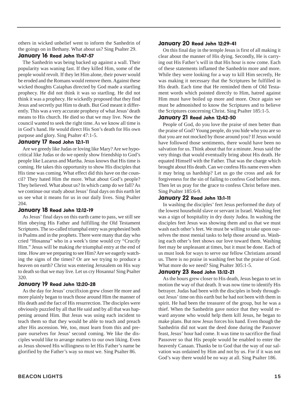others in wicked unbelief went to inform the Sanhedrin of the goings on in Bethany. What about us? Sing Psalter 29.

#### January 16 Read John 11:47-57

The Sanhedrin was being backed up against a wall. Their popularity was waning fast. If they killed Him, some of the people would revolt. If they let Him alone, their power would be eroded and the Romans would remove them. Against these wicked thoughts Caiaphas directed by God made a startling prophecy. He did not think it was so startling. He did not think it was a prophecy. He wickedly proposed that they find Jesus and secretly put Him to death. But God meant it differently. This was a very accurate prophesy of what Jesus' death means to His church. He died so that we may live. Now the council wanted to seek the right time. As we know all time is in God's hand. He would direct His Son's death for His own purpose and glory. Sing Psalter 47:1-5.

#### January 17 Read John 12:1-11

Are we greedy like Judas or loving like Mary? Are we hypocritical like Judas or do we openly show friendship to God's people like Lazarus and Martha. Jesus knows that His time is coming. He takes this opportunity to show His disciples that His time was coming. What effect did this have on the council? They hated Him the more. What about God's people? They believed. What about us? In which camp do we fall? As we continue our study about Jesus' final days on this earth let us see what it means for us in our daily lives. Sing Psalter 204.

#### January 18 Read John 12:12-19

As Jesus' final days on this earth came to pass, we still see Him obeying His Father and fulfilling the Old Testament Scriptures. The so-called triumphal entry was prophesied both in Psalms and in the prophets. There were many that day who cried "Hosanna" who in a week's time would cry "Crucify Him." Jesus will be making *the* triumphal entry at the end of time. How are we preparing to see Him? Are we eagerly watching the signs of the times? Or are we trying to produce a heaven on earth? Christ was entering Jerusalem on His way to death so that we may live. Let us cry Hosanna! Sing Psalter 320.

#### January 19 Read John 12:20-28

As the day for Jesus' crucifixion grew closer He more and more plainly began to teach those around Him the manner of His death and the fact of His resurrection. The disciples were obviously puzzled by all that He said and by all that was happening around Him. But Jesus was using each incident to teach them so that they would be able to teach and preach after His ascension. We, too, must learn from this and prepare ourselves for Jesus' second coming. We like the disciples would like to arrange matters to our own liking. Even as Jesus showed His willingness to let His Father's name be glorified by the Father's way so must we. Sing Psalter 86.

#### January 20 Read John 12:29-41

On this final day in the temple Jesus is first of all making it clear about the manner of His dying. Secondly, He is carrying out His Father's will in that His hour is now come. Each of these statements inflamed the Sanhedrin more and more. While they were looking for a way to kill Him secretly, He was making it necessary that the Scriptures be fulfilled in His death. Each time that He reminded them of Old Testament words which pointed directly to Him, hatred against Him must have boiled up more and more. Once again we must be admonished to know the Scriptures and to believe the Scriptures concerning Christ. Sing Psalter 185:1-5.

#### January 21 Read John 12:42-50

People of God, do you love the praise of men better than the praise of God? Young people, do you hide who you are so that you are not mocked by those around you? If Jesus would have followed those sentiments, there would have been no salvation for us. Think about that for a minute. Jesus said the very things that would eventually bring about His death. He equated Himself with the Father. That was the charge which brought about His death. Can we confess His name even when it may bring us hardship? Let us go the cross and ask for forgiveness for the sin of failing to confess God before men. Then let us pray for the grace to confess Christ before men. Sing Psalter 185:6-9.

#### January 22 Read John 13:1-11

In washing the disciples' feet Jesus performed the duty of the lowest household slave or servant in Israel. Washing feet was a sign of hospitality in dry dusty Judea. In washing the disciples feet Jesus was showing them and us that we must wash each other's feet. We must be willing to take upon ourselves the most menial tasks to help those around us. Washing each other's feet shows our love toward them. Washing feet may be unpleasant at times, but it must be done. Each of us must look for ways to serve our fellow Christians around us. There is no praise in washing feet but the praise of God. What more do we need? Sing Psalter 305:1-5.

#### January 23 Read John 13:12-21

As the hours grew closer to His death, Jesus began to set in motion the way of that death. It was now time to identify His betrayer. Judas had been with the disciples in body throughout Jesus' time on this earth but he had not been with them in spirit. He had been the treasurer of the group, but he was a thief. When the Sanhedrin gave notice that they would reward anyone who would help them kill Jesus, he began to make plans. But now Jesus forces his hand. Even though the Sanhedrin did not want the deed done during the Passover feast, Jesus' hour had come. It was time to sacrifice the final Passover so that His people would be enabled to enter the heavenly Canaan. Thanks be to God that the way of our salvation was ordained by Him and not by us. For if it was not God's way there would be no way at all. Sing Psalter 186.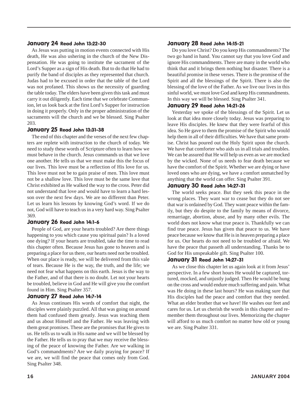#### January 24 Read John 13:22-30

As Jesus was putting in motion events connected with His death, He was also ushering in the church of the New Dispensation. He was going to institute the sacrament of the Lord's Supper as a sign of His death. But to do that He had to purify the band of disciples as they represented that church. Judas had to be excused in order that the table of the Lord was not profaned. This shows us the necessity of guarding the table today. The elders have been given this task and must carry it out diligently. Each time that we celebrate Communion, let us look back at the first Lord's Supper for instruction in doing it properly. Only in the proper administration of the sacraments will the church and we be blessed. Sing Psalter 203.

#### January 25 Read John 13:31-38

The end of this chapter and the verses of the next few chapters are replete with instruction to the church of today. We need to study these words of Scripture often to learn how we must behave in the church. Jesus commands us that we love one another. He tells us that we must make this the focus of our lives. This love must be a reflection of His love for us. This love must not be to gain praise of men. This love must not be a shallow love. This love must be the same love that Christ exhibited as He walked the way to the cross. Peter did not understand that love and would have to learn a hard lesson over the next few days. We are no different than Peter. Let us learn his lessons by knowing God's word. If we do not, God will have to teach us in a very hard way. Sing Psalter 369.

#### January 26 Read John 14:1-6

People of God, are your hearts troubled? Are there things happening to you which cause you spiritual pain? Is a loved one dying? If your hearts are troubled, take the time to read this chapter often. Because Jesus has gone to heaven and is preparing a place for us there, our hearts need not be troubled. When our place is ready, we will be delivered from this vale of tears. Because He is the way, the truth, and the life; we need not fear what happens on this earth. Jesus is the way to the Father, and of that there is no doubt. Let not your hearts be troubled, believe in God and He will give you the comfort found in Him. Sing Psalter 357.

#### January 27 Read John 14:7-14

As Jesus continues His words of comfort that night, the disciples were plainly puzzled. All that was going on around them had confused them greatly. Jesus was teaching them and us about Himself and the Father. He was leaving with them great promises. These are the promises that He gives to us. He tells us to walk in His name and we will be blessed by the Father. He tells us to pray that we may receive the blessing of the peace of knowing the Father. Are we walking in God's commandments? Are we daily praying for peace? If we are, we will find the peace that comes only from God. Sing Psalter 348.

#### January 28 Read John 14:15-21

Do you love Christ? Do you keep His commandments? The two go hand in hand. You cannot say that you love God and ignore His commandments. There are many in the world who think that and it brings them nothing but disaster. There is a beautiful promise in these verses. There is the promise of the Spirit and all the blessings of the Spirit. There is also the blessing of the love of the Father. As we live our lives in this sinful world, we must love God and keep His commandments. In this way we will be blessed. Sing Psalter 341.

#### January 29 Read John 14:21-26

Yesterday we spoke of the blessings of the Spirit. Let us look at that idea more closely today. Jesus was preparing to leave His disciples. He knew that they were fearful of this idea. So He gave to them the promise of the Spirit who would help them in all of their difficulties. We have that same promise. Christ has poured out the Holy Spirit upon the church. We have that comforter who aids us in all trials and troubles. We can be assured that He will help us even as we are mocked by the wicked. None of us needs to fear death because we have the comfort of the Spirit. Whether we are dying or have loved ones who are dying, we have a comfort unmatched by anything that the world can offer. Sing Psalter 391.

#### January 30 Read John 14:27-31

The world seeks peace. But they seek this peace in the wrong places. They want war to cease but they do not see that war is ordained by God. They want peace within the family, but they do despite to the family by means of divorce, remarriage, abortion, abuse, and by many other evils. The world does not know what true peace is. Thankfully we can find true peace. Jesus has given that peace to us. We have peace because we know that He is in heaven preparing a place for us. Our hearts do not need to be troubled or afraid. We have the peace that passeth all understanding. Thanks be to God for His unspeakable gift. Sing Psalter 100.

#### January 31 Read John 14:27-31

As we close this chapter let us again look at it from Jesus' perspective. In a few short hours He would be captured, tortured, mocked, and unjustly judged. Then He would be hung on the cross and would endure much suffering and pain. What was He doing in these last hours? He was making sure that His disciples had the peace and comfort that they needed. What an elder brother that we have! He washes our feet and cares for us. Let us cherish the words in this chapter and remember them throughout our lives. Memorizing the chapter will afford to us much comfort no matter how old or young we are. Sing Psalter 331.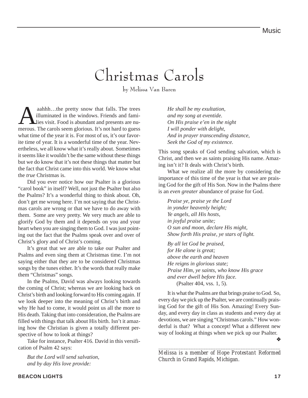### Christmas Carols

by Melissa Van Baren

aahhh...the pretty snow that falls. The trees<br>illuminated in the windows. Friends and fami-<br>lies visit. Food is abundant and presents are nu-<br>merous. The carols seem glorious. It's not hard to guess illuminated in the windows. Friends and families visit. Food is abundant and presents are numerous. The carols seem glorious. It's not hard to guess what time of the year it is. For most of us, it's our favorite time of year. It is a wonderful time of the year. Nevertheless, we all know what it's really about. Sometimes it seems like it wouldn't be the same without these things but we do know that it's not these things that matter but the fact that Christ came into this world. We know what the *true* Christmas is.

Did you ever notice how our Psalter is a glorious "carol book" in itself? Well, not just the Psalter but also the Psalms? It's a wonderful thing to think about. Oh, don't get me wrong here. I'm not saying that the Christmas carols are wrong or that we have to do away with them. Some are very pretty. We very much are able to glorify God by them and it depends on you and your heart when you are singing them to God. I was just pointing out the fact that the Psalms speak over and over of Christ's glory and of Christ's coming.

It's great that we are able to take our Psalter and Psalms and even sing them at Christmas time. I'm not saying either that they are to be considered Christmas songs by the tunes either. It's the words that really make them "Christmas" songs.

In the Psalms, David was always looking towards the coming of Christ; whereas we are looking back on Christ's birth and looking forward to His coming again. If we look deeper into the meaning of Christ's birth and why He had to come, it would point us all the more to His death. Taking that into consideration, the Psalms are filled with things that talk about His birth. Isn't it amazing how the Christian is given a totally different perspective of how to look at things?

Take for instance, Psalter 416. David in this versification of Psalm 42 says:

*But the Lord will send salvation, and by day His love provide:*

*He shall be my exultation, and my song at eventide. On His praise e'en in the night I will ponder with delight, And in prayer transcending distance, Seek the God of my existence.*

This song speaks of God sending salvation, which is Christ, and then we as saints praising His name. Amazing isn't it? It deals with Christ's birth.

What we realize all the more by considering the importance of this time of the year is that we are praising God for the gift of His Son. Now in the Psalms there is an *even greater* abundance of praise for God.

*Praise ye, praise ye the Lord in yonder heavenly height; Ye angels, all His hosts, in joyful praise unite; O sun and moon, declare His might, Show forth His praise, ye stars of light.*

*By all let God be praised, for He alone is great; above the earth and heaven He reigns in glorious state; Praise Him, ye saints, who know His grace and ever dwell before His face.* (Psalter 404, vss. 1, 5).

It is what the Psalms are that brings praise to God. So, every day we pick up the Psalter, we are continually praising God for the gift of His Son. Amazing! Every Sunday, and every day in class as students and every day at devotions, we are singing "Christmas carols." How wonderful is that? What a concept! What a different new way of looking at things when we pick up our Psalter.

❖

*\_\_\_\_\_\_\_\_\_\_\_\_\_\_\_\_\_\_\_\_\_\_\_\_\_\_\_\_\_\_\_\_\_\_\_\_\_\_\_\_\_\_\_\_\_\_\_\_\_ Melissa is a member of Hope Protestant Reformed Church in Grand Rapids, Michigan.*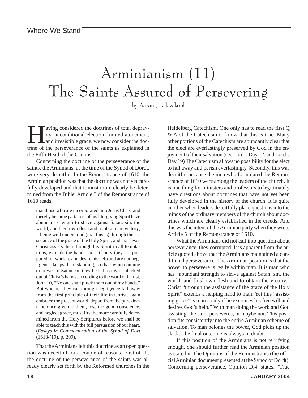### Arminianism (11) The Saints Assured of Persevering

by Aaron J. Cleveland

aving considered the doctrines of total depravity, unconditional election, limited atonement, and irresistible grace, we now consider the doctrine of the perseverance of the saints as explained in the Fifth Head of the Canons.

Concerning the doctrine of the perseverance of the saints, the Arminians, at the time of the Synod of Dordt, were very deceitful. In the Remonstrance of 1610, the Arminian position was that the doctrine was not yet carefully developed and that it must more clearly be determined from the Bible. Article 5 of the Remonstrance of 1610 reads,

that those who are incorporated into Jesus Christ and thereby become partakers of his life-giving Spirit have abundant strength to strive against Satan, sin, the world, and their own flesh and to obtain the victory; it being well understood (that this is) through the assistance of the grace of the Holy Spirit, and that Jesus Christ assists them through his Spirit in all temptations, extends the hand, and—if only they are prepared for warfare and desire his help and are not negligent—keeps them standing, so that by no cunning or power of Satan can they be led astray or plucked out of Christ's hands, according to the word of Christ, John 10, "No one shall pluck them out of my hands." But whether they can through negligence fall away from the first principle of their life in Christ, again embrace the present world, depart from the pure doctrine once given to them, lose the good conscience, and neglect grace, must first be more carefully determined from the Holy Scriptures before we shall be able to teach this with the full persuasion of our heart. (*Essays in Commemoration of the Synod of Dort* (1618-'19), p. 209).

That the Arminians left this doctrine as an open question was deceitful for a couple of reasons. First of all, the doctrine of the perseverance of the saints was already clearly set forth by the Reformed churches in the Heidelberg Catechism. One only has to read the first Q & A of the Catechism to know that this is true. Many other portions of the Catechism are abundantly clear that the elect are everlastingly preserved by God in the enjoyment of their salvation (see Lord's Day 12, and Lord's Day 19) The Catechism allows no possibility for the elect to fall away and perish everlastingly. Secondly, this was deceitful because the men who formulated the Remonstrance of 1610 were among the leaders of the church. It is one thing for ministers and professors to legitimately have questions about doctrines that have not yet been fully developed in the history of the church. It is quite another when leaders deceitfully place questions into the minds of the ordinary members of the church about doctrines which are clearly established in the creeds. And this was the intent of the Arminian party when they wrote Article 5 of the Remonstrance of 1610.

What the Arminians did not call into question about perseverance, they corrupted. It is apparent from the article quoted above that the Arminians maintained a conditional perseverance. The Arminian position is that the power to persevere is really within man. It is man who has "abundant strength to strive against Satan, sin, the world, and [his] own flesh and to obtain the victory." Christ "through the assistance of the grace of the Holy Spirit" extends a helping hand to man. Yet this "assisting grace" is man's only if he exercises his free will and desires God's help." With man doing the work and God assisting, the saint perseveres, or maybe not. This position fits consistently into the entire Arminian scheme of salvation. To man belongs the power, God picks up the slack. The final outcome is always in doubt.

If this position of the Arminians is not terrifying enough, one should further read the Arminian position as stated in The Opinions of the Remonstrants (the official Arminian document presented at the Synod of Dordt). Concerning perseverance, Opinion D.4. states, "True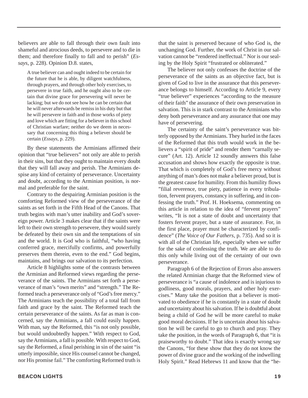believers are able to fall through their own fault into shameful and atrocious deeds, to persevere and to die in them; and therefore finally to fall and to perish" (*Essays*, p. 228). Opinion D.8. states,

A true believer can and ought indeed to be certain for the future that he is able, by diligent watchfulness, through prayers, and through other holy exercises, to persevere in true faith, and he ought also to be certain that divine grace for persevering will never be lacking; but we do not see how he can be certain that he will never afterwards be remiss in his duty but that he will persevere in faith and in those works of piety and love which are fitting for a believer in this school of Christian warfare; neither do we deem in necessary that concerning this thing a believer should be certain (*Essays*, p. 229).

By these statements the Arminians affirmed their opinion that "true believers" not only are able to perish in their sins, but that they ought to maintain every doubt that they will fall away and perish. The Arminians despise any kind of certainty of perseverance. Uncertainty and doubt, according to the Arminian position, is normal and preferable for the saint.

Contrary to the despairing Arminian position is the comforting Reformed view of the perseverance of the saints as set forth in the Fifth Head of the Canons. That truth begins with man's utter inability and God's sovereign power. Article 3 makes clear that if the saints were left to their own strength to persevere, they would surely be defeated by their own sin and the temptations of sin and the world. It is God who is faithful, "who having conferred grace, mercifully confirms, and powerfully preserves them therein, even to the end." God begins, maintains, and brings our salvation to its perfection.

Article 8 highlights some of the contrasts between the Arminian and Reformed views regarding the perseverance of the saints. The Arminians set forth a perseverance of man's "own merits" and "strength." The Reformed teach a perseverance only of "God's free mercy." The Arminians teach the possibility of a total fall from faith and grace by the saint. The Reformed teach the certain perseverance of the saints. As far as man is concerned, say the Arminians, a fall could easily happen. With man, say the Reformed, this "is not only possible, but would undoubtedly happen." With respect to God, say the Arminians, a fall is possible. With respect to God, say the Reformed, a final perishing in sin of the saint "is utterly impossible, since His counsel cannot be changed, nor His promise fail." The comforting Reformed truth is

that the saint is preserved because of who God is, the unchanging God. Further, the work of Christ in our salvation cannot be "rendered ineffectual." Nor is our sealing by the Holy Spirit "frustrated or obliterated."

The believer not only confesses the doctrine of the perseverance of the saints as an objective fact, but is given of God to live in the assurance that this perseverance belongs to himself. According to Article 9, every "true believer" experiences "according to the measure of their faith" the assurance of their own preservation in salvation. This is in stark contrast to the Arminians who deny both perseverance and any assurance that one may have of persevering.

The certainty of the saint's perseverance was bitterly opposed by the Arminians. They hurled in the faces of the Reformed that this truth would work in the believers a "spirit of pride" and render them "carnally secure" (Art. 12). Article 12 soundly answers this false accusation and shows how exactly the opposite is true. That which is completely of God's free mercy without anything of man's does not make a believer proud, but is the greatest cause for humility. From this humility flows "filial reverence, true piety, patience in every tribulation, fervent prayers, constancy in suffering, and in confessing the truth." Prof. H. Hoeksema, commenting on this article in relation to the idea of "fervent prayers" writes, "It is not a state of doubt and uncertainty that fosters fervent prayer, but a state of assurance. For, in the first place, prayer must be characterized by confidence" (*The Voice of Our Fathers*, p. 735). And so it is with all of the Christian life, especially when we suffer for the sake of confessing the truth. We are able to do this only while living out of the certainty of our own perseverance.

Paragraph 6 of the Rejection of Errors also answers the related Arminian charge that the Reformed view of perseverance is "a cause of indolence and is injurious to godliness, good morals, prayers, and other holy exercises." Many take the position that a believer is motivated to obedience if he is constantly in a state of doubt and uncertainty about his salvation. If he is doubtful about being a child of God he will be more careful to make good moral decisions. If he is uncertain about his salvation he will be careful to go to church and pray. They take the position, in the words of Paragraph 6, that "it is praiseworthy to doubt." That idea is exactly wrong say the Canons, "for these show that they do not know the power of divine grace and the working of the indwelling Holy Spirit." Read Hebrews 11 and know that the "he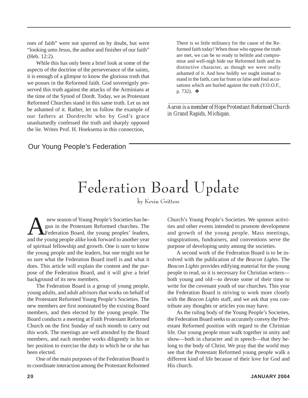roes of faith" were not spurred on by doubt, but were "looking unto Jesus, the author and finisher of our faith" (Heb. 12:2).

While this has only been a brief look at some of the aspects of the doctrine of the perseverance of the saints, it is enough of a glimpse to know the glorious truth that we posses in the Reformed faith. God sovereignly preserved this truth against the attacks of the Arminians at the time of the Synod of Dordt. Today, we as Protestant Reformed Churches stand in this same truth. Let us not be ashamed of it. Rather, let us follow the example of our fathers at Dordrecht who by God's grace unashamedly confessed the truth and sharply opposed the lie. Writes Prof. H. Hoeksema in this connection,

There is so little militancy for the cause of the Reformed faith today! When those who oppose the truth are met, we can be so ready to belittle and compromise and well-nigh hide our Reformed faith and its distinctive character, as though we were really ashamed of it. And how boldly we ought instead to stand in the faith, cast far from us false and foul accusations which are hurled against the truth (*V.O.O.F.,* p. 732). ❖

 *\_\_\_\_\_\_\_\_\_\_\_\_\_\_\_\_\_\_\_\_\_\_\_\_\_\_\_\_\_\_\_\_\_\_\_\_\_\_\_\_\_\_\_\_\_\_\_ Aaron is a member of Hope Protestant Reformed Church in Grand Rapids, Michigan.*

#### Our Young People's Federation

### Federation Board Update

by Kevin Gritters

new season of Young People's Societies has be-<br>gun in the Protestant Reformed churches. The<br>Federation Board, the young peoples' leaders, gun in the Protestant Reformed churches. The Federation Board, the young peoples' leaders, and the young people alike look forward to another year of spiritual fellowship and growth. One is sure to know the young people and the leaders, but one might not be so sure what the Federation Board itself is and what it does. This article will explain the content and the purpose of the Federation Board, and it will give a brief background of its new members.

The Federation Board is a group of young people, young adults, and adult advisors that works on behalf of the Protestant Reformed Young People's Societies. The new members are first nominated by the existing Board members, and then elected by the young people. The Board conducts a meeting at Faith Protestant Reformed Church on the first Sunday of each month to carry out this work. The meetings are well attended by the Board members, and each member works diligently in his or her position to exercise the duty to which he or she has been elected.

One of the main purposes of the Federation Board is to coordinate interaction among the Protestant Reformed Church's Young People's Societies. We sponsor activities and other events intended to promote development and growth of the young people. Mass meetings, singspirations, fundraisers, and conventions serve the purpose of developing unity among the societies.

A second work of the Federation Board is to be involved with the publication of the *Beacon Lights*. The *Beacon Lights* provides edifying material for the young people to read, so it is necessary for Christian writers both young and old—to devote some of their time to write for the covenant youth of our churches. This year the Federation Board is striving to work more closely with the *Beacon Lights* staff, and we ask that you contribute any thoughts or articles you may have.

As the ruling body of the Young People's Societies, the Federation Board seeks to accurately convey the Protestant Reformed position with regard to the Christian life. Our young people must walk together in unity and show—both in character and in speech—that they belong to the body of Christ. We pray that the world may see that the Protestant Reformed young people walk a different kind of life because of their love for God and His church.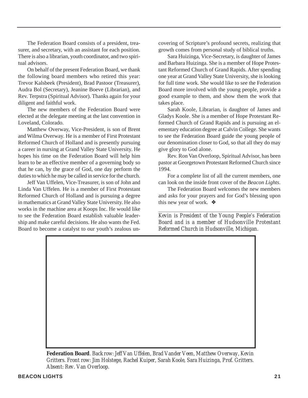The Federation Board consists of a president, treasurer, and secretary, with an assistant for each position. There is also a librarian, youth coordinator, and two spiritual advisors.

On behalf of the present Federation Board, we thank the following board members who retired this year: Trevor Kalsbeek (President), Brad Pastoor (Treasurer), Audra Bol (Secretary), Jeanine Boeve (Librarian), and Rev. Terpstra (Spiritual Advisor). Thanks again for your diligent and faithful work.

The new members of the Federation Board were elected at the delegate meeting at the last convention in Loveland, Colorado.

Matthew Overway, Vice-President, is son of Brent and Wilma Overway. He is a member of First Protestant Reformed Church of Holland and is presently pursuing a career in nursing at Grand Valley State University. He hopes his time on the Federation Board will help him learn to be an effective member of a governing body so that he can, by the grace of God, one day perform the duties to which he may be called in service for the church.

Jeff Van Uffelen, Vice-Treasurer, is son of John and Linda Van Uffelen. He is a member of First Protestant Reformed Church of Holland and is pursuing a degree in mathematics at Grand Valley State University. He also works in the machine area at Koops Inc. He would like to see the Federation Board establish valuable leadership and make careful decisions. He also wants the Fed. Board to become a catalyst to our youth's zealous uncovering of Scripture's profound secrets, realizing that growth comes from personal study of biblical truths.

Sara Huizinga, Vice-Secretary, is daughter of James and Barbara Huizinga. She is a member of Hope Protestant Reformed Church of Grand Rapids. After spending one year at Grand Valley State University, she is looking for full time work. She would like to see the Federation Board more involved with the young people, provide a good example to them, and show them the work that takes place.

Sarah Koole, Librarian, is daughter of James and Gladys Koole. She is a member of Hope Protestant Reformed Church of Grand Rapids and is pursuing an elementary education degree at Calvin College. She wants to see the Federation Board guide the young people of our denomination closer to God, so that all they do may give glory to God alone.

Rev. Ron Van Overloop, Spiritual Advisor, has been pastor at Georgetown Protestant Reformed Church since 1994.

For a complete list of all the current members, one can look on the inside front cover of the *Beacon Lights*.

The Federation Board welcomes the new members and asks for your prayers and for God's blessing upon this new year of work. ❖

*\_\_\_\_\_\_\_\_\_\_\_\_\_\_\_\_\_\_\_\_\_\_\_\_\_\_\_\_\_\_\_\_\_\_\_\_\_\_\_\_\_\_\_\_\_\_\_\_\_\_\_\_\_\_\_\_ Kevin is President of the Young People's Federation Board and is a member of Hudsonville Protestant Reformed Church in Hudsonville, Michigan.*

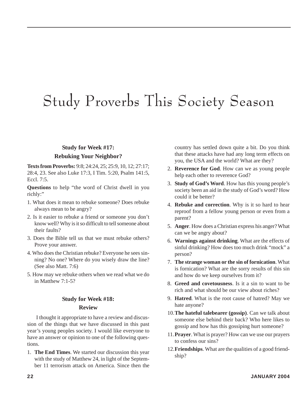# Study Proverbs This Society Season

#### **Study for Week #17: Rebuking Your Neighbor?**

**Texts from Proverbs:** 9:8; 24:24, 25; 25:9, 10, 12; 27:17; 28:4, 23. See also Luke 17:3, I Tim. 5:20, Psalm 141:5, Eccl. 7:5.

**Questions** to help "the word of Christ dwell in you richly:"

- 1. What does it mean to rebuke someone? Does rebuke always mean to be angry?
- 2. Is it easier to rebuke a friend or someone you don't know well? Why is it so difficult to tell someone about their faults?
- 3. Does the Bible tell us that we must rebuke others? Prove your answer.
- 4. Who does the Christian rebuke? Everyone he sees sinning? No one? Where do you wisely draw the line? (See also Matt. 7:6)
- 5. How may we rebuke others when we read what we do in Matthew 7:1-5?

#### **Study for Week #18: Review**

I thought it appropriate to have a review and discussion of the things that we have discussed in this past year's young peoples society. I would like everyone to have an answer or opinion to one of the following questions.

1. **The End Times**. We started our discussion this year with the study of Matthew 24, in light of the September 11 terrorism attack on America. Since then the

country has settled down quite a bit. Do you think that these attacks have had any long term effects on you, the USA and the world? What are they?

- 2. **Reverence for God**. How can we as young people help each other to reverence God?
- 3. **Study of God's Word**. How has this young people's society been an aid in the study of God's word? How could it be better?
- 4. **Rebuke and correction**. Why is it so hard to hear reproof from a fellow young person or even from a parent?
- 5. **Anger**. How does a Christian express his anger? What can we be angry about?
- 6. **Warnings against drinking**. What are the effects of sinful drinking? How does too much drink "mock" a person?
- 7. **The strange woman or the sin of fornication**. What is fornication? What are the sorry results of this sin and how do we keep ourselves from it?
- 8. **Greed and covetousness**. Is it a sin to want to be rich and what should be our view about riches?
- 9. **Hatred**. What is the root cause of hatred? May we hate anyone?
- 10.**The hateful talebearer (gossip)**. Can we talk about someone else behind their back? Who here likes to gossip and how has this gossiping hurt someone?
- 11.**Prayer**. What is prayer? How can we use our prayers to confess our sins?
- 12.**Friendships**. What are the qualities of a good friendship?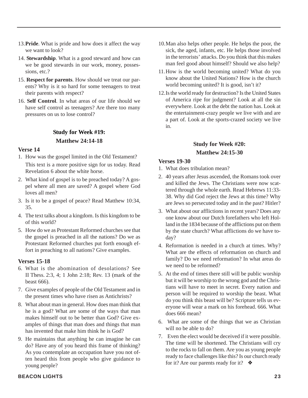- 13.**Pride**. What is pride and how does it affect the way we want to look?
- 14. **Stewardship**. What is a good steward and how can we be good stewards in our work, money, possessions, etc.?
- 15. **Respect for parents**. How should we treat our parents? Why is it so hard for some teenagers to treat their parents with respect?
- 16. **Self Control**. In what areas of our life should we have self control as teenagers? Are there too many pressures on us to lose control?

#### **Study for Week #19: Matthew 24:14-18**

#### **Verse 14**

- 1. How was the gospel limited in the Old Testament? This text is a more positive sign for us today. Read Revelation 6 about the white horse.
- 2. What kind of gospel is to be preached today? A gospel where all men are saved? A gospel where God loves all men?
- 3. Is it to be a gospel of peace? Read Matthew 10:34, 35.
- 4. The text talks about a kingdom. Is this kingdom to be of this world?
- 5. How do we as Protestant Reformed churches see that the gospel is preached in all the nations? Do we as Protestant Reformed churches put forth enough effort in preaching to all nations? Give examples.

#### **Verses 15-18**

- 6. What is the abomination of desolations? See II Thess. 2:3, 4; 1 John 2:18; Rev. 13 (mark of the beast 666).
- 7. Give examples of people of the Old Testament and in the present times who have risen as Antichrists?
- 8. What about man in general. How does man think that he is a god? What are some of the ways that man makes himself out to be better than God? Give examples of things that man does and things that man has invented that make him think he is God?
- 9. He maintains that anything he can imagine he can do? Have any of you heard this frame of thinking? As you contemplate an occupation have you not often heard this from people who give guidance to young people?
- 10.Man also helps other people. He helps the poor, the sick, the aged, infants, etc. He helps those involved in the terrorists' attacks. Do you think that this makes man feel good about himself? Should we also help?
- 11.How is the world becoming united? What do you know about the United Nations? How is the church world becoming united? It is good, isn't it?
- 12.Is the world ready for destruction? Is the United States of America ripe for judgment? Look at all the sin everywhere. Look at the debt the nation has. Look at the entertainment-crazy people we live with and are a part of. Look at the sports-crazed society we live in.

#### **Study for Week #20: Matthew 24:15-30**

#### **Verses 19-30**

- 1. What does tribulation mean?
- 2. 40 years after Jesus ascended, the Romans took over and killed the Jews. The Christians were now scattered through the whole earth. Read Hebrews 11:33- 38. Why did God reject the Jews at this time? Why are Jews so persecuted today and in the past? Hitler?
- 3. What about our afflictions in recent years? Does any one know about our Dutch forefathers who left Holland in the 1834 because of the afflictions put on them by the state church? What afflictions do we have today?
- 4. Reformation is needed in a church at times. Why? What are the effects of reformation on church and family? Do we need reformation? In what areas do we need to be reformed?
- 5. At the end of times there still will be public worship but it will be worship to the wrong god and the Christians will have to meet in secret. Every nation and person will be required to worship the beast. What do you think this beast will be? Scripture tells us everyone will wear a mark on his forehead. 666. What does 666 mean?
- 6. What are some of the things that we as Christian will no be able to do?
- 7. Even the elect would be deceived if it were possible. The time will be shortened. The Christians will cry to the rocks to fall on them. Are you as young people ready to face challenges like this? Is our church ready for it? Are our parents ready for it?  $\bullet$

#### **BEACON LIGHTS 23**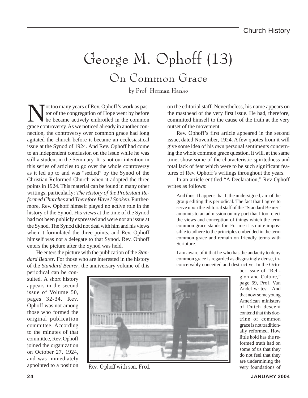### George M. Ophoff (13) On Common Grace

by Prof. Herman Hanko

Not too many years of Rev. Ophoff's work as pas-<br>tor of the congregation of Hope went by before<br>he became actively embroiled in the common<br>grace controversy. As we noticed already in another contor of the congregation of Hope went by before he became actively embroiled in the common grace controversy. As we noticed already in another connection, the controversy over common grace had long agitated the church before it became an ecclesiastical issue at the Synod of 1924. And Rev. Ophoff had come to an independent conclusion on the issue while he was still a student in the Seminary. It is not our intention in this series of articles to go over the whole controversy as it led up to and was "settled" by the Synod of the Christian Reformed Church when it adopted the three points in 1924. This material can be found in many other writings, particularly: *The History of the Protestant Reformed Churches* and *Therefore Have I Spoken*. Furthermore, Rev. Ophoff himself played no active role in the history of the Synod. His views at the time of the Synod had not been publicly expressed and were not an issue at the Synod. The Synod did not deal with him and his views when it formulated the three points, and Rev. Ophoff himself was not a delegate to that Synod. Rev. Ophoff enters the picture after the Synod was held.

He enters the picture with the publication of the *Standard Bearer*. For those who are interested in the history of the *Standard Bearer*, the anniversary volume of this on the editorial staff. Nevertheless, his name appears on the masthead of the very first issue. He had, therefore, committed himself to the cause of the truth at the very outset of the movement.

Rev. Ophoff's first article appeared in the second issue, dated November, 1924. A few quotes from it will give some idea of his own personal sentiments concerning the whole common grace question. It will, at the same time, show some of the characteristic spiritedness and total lack of fear which were to be such significant features of Rev. Ophoff's writings throughout the years.

In an article entitled "A Declaration," Rev Ophoff writes as follows:

And thus it happens that I, the undersigned, am of the group editing this periodical. The fact that I agree to serve upon the editorial staff of the "Standard Bearer" amounts to an admission on my part that I too reject the views and conception of things which the term common grace stands for. For me it is quite impossible to adhere to the principles embedded in the term common grace and remain on friendly terms with Scripture.

I am aware of it that he who has the audacity to deny common grace is regarded as disgustingly dense, inconceivably conceited and destructive. In the Octo-

periodical can be consulted. A short history appears in the second issue of Volume 50, pages 32-34. Rev. Ophoff was not among those who formed the original publication committee. According to the minutes of that committee, Rev. Ophoff joined the organization on October 27, 1924, and was immediately appointed to a position



*Rev. Ophoff with son, Fred.* very foundations of

ber issue of "Religion and Culture," page 69, Prof. Van Andel writes: "And that now some young American ministers of Dutch descent contend that this doctrine of common grace is not traditionally reformed. How little hold has the reformed truth had on some of us that they do not feel that they are undermining the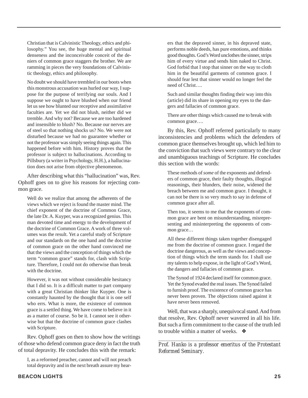Christian that is Calvinistic Theology, ethics and philosophy." You see, the huge mental and spiritual denseness and the inconceivable conceit of the deniers of common grace staggers the brother. We are ramming in pieces the very foundations of Calvinistic theology, ethics and philosophy.

No doubt we should have trembled in our boots when this monstrous accusation was hurled our way, I suppose for the purpose of terrifying our souls. And I suppose we ought to have blushed when our friend let us see how blunted our receptive and assimilative faculties are. Yet we did not blush, neither did we tremble. And why not? Because we are too hardened and insensible to blush? No. Because our nerves are of steel so that nothing shocks us? No. We were not disturbed because we had no guarantee whether or not the professor was simply seeing things again. This happened before with him. History proves that the professor is subject to hallucinations. According to Pillsbury (a writer in Psychology, H.H.), a hallucination does not arise from objective phenomenon.

After describing what this "hallucination" was, Rev. Ophoff goes on to give his reasons for rejecting common grace.

Well do we realize that among the adherents of the views which we reject is found the master mind. The chief exponent of the doctrine of Common Grace, the late Dr. A. Kuyper, was a recognized genius. This man devoted time and energy to the development of the doctrine of Common Grace. A work of three volumes was the result. Yet a careful study of Scripture and our standards on the one hand and the doctrine of common grace on the other hand convinced me that the views and the conception of things which the term "common grace" stands for, clash with Scripture. Therefore, I could not do otherwise than break with the doctrine.

However, it was not without considerable hesitancy that I did so. It is a difficult matter to part company with a great Christian thinker like Kuyper. One is constantly haunted by the thought that it is one self who errs. What is more, the existence of common grace is a settled thing. We have come to believe in it as a matter of course. So be it. I cannot see it otherwise but that the doctrine of common grace clashes with Scripture.

Rev. Ophoff goes on then to show how the writings of those who defend common grace deny in fact the truth of total depravity. He concludes this with the remark:

I, as a reformed preacher, cannot and will not preach total depravity and in the next breath assure my hearers that the depraved sinner, in his depraved state, performs noble deeds, has pure emotions, and thinks good thoughts. God's Word unclothes the sinner, strips him of every virtue and sends him naked to Christ. God forbid that I stop that sinner on the way to cloth him in the beautiful garments of common grace. I should fear lest that sinner would no longer feel the need of Christ….

Such and similar thoughts finding their way into this (article) did its share in opening my eyes to the dangers and fallacies of common grace.

There are other things which caused me to break with common grace….

By this, Rev. Ophoff referred particularly to many inconsistencies and problems which the defenders of common grace themselves brought up, which led him to the conviction that such views were contrary to the clear and unambiguous teachings of Scripture. He concludes this section with the words:

These methods of *some* of the exponents and defenders of common grace, their faulty thoughts, illogical reasonings, their blunders, their noise, widened the breach between me and common grace. I thought, it can not be there is so very much to say in defense of common grace after all.

Then too, it seems to me that the exponents of common grace are bent on misunderstanding, misrepresenting and misinterpreting the opponents of common grace…

All these different things taken together disengaged me from the doctrine of common grace. I regard the doctrine dangerous, as well as the views and conception of things which the term stands for. I shall use my talents to help expose, in the light of God's Word, the dangers and fallacies of common grace.

The Synod of 1924 declared itself for common grace. Yet the Synod evaded the real issues. The Synod failed to furnish proof. The existence of common grace has never been proven. The objections raised against it have never been removed.

Well, that was a sharply, unequivocal stand. And from that resolve, Rev. Ophoff never wavered in all his life. But such a firm commitment to the cause of the truth led to trouble within a matter of weeks. ❖

*\_\_\_\_\_\_\_\_\_\_\_\_\_\_\_\_\_\_\_\_\_\_\_\_\_\_\_\_\_\_\_\_\_\_\_\_\_\_\_\_\_\_\_\_\_\_\_\_\_\_ Prof. Hanko is a professor emeritus of the Protestant Reformed Seminary.*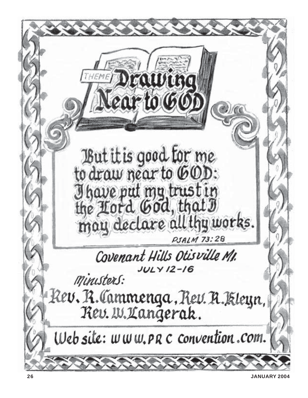

**JANUARY 2004**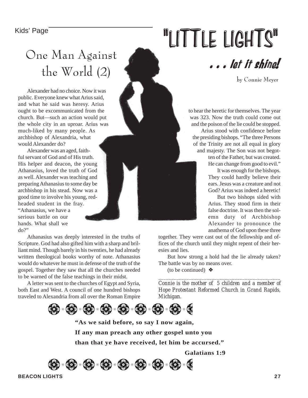### One Man Against the World (2)

Alexander had no choice. Now it was public. Everyone knew what Arius said, and what he said was heresy. Arius ought to be excommunicated from the church. But—such an action would put the whole city in an uproar. Arius was much-liked by many people. As archbishop of Alexandria, what would Alexander do?

Alexander was an aged, faithful servant of God and of His truth. His helper and deacon, the young Athanasius, loved the truth of God as well. Alexander was teaching and preparing Athanasius to some day be archbishop in his stead. Now was a good time to involve his young, redheaded student in the fray. "Athanasius, we have a serious battle on our hands. What shall we do?"

Athanasius was deeply interested in the truths of Scripture. God had also gifted him with a sharp and brilliant mind. Though barely in his twenties, he had already written theological books worthy of note. Athanasius would do whatever he must in defense of the truth of the gospel. Together they saw that all the churches needed to be warned of the false teachings in their midst.

A letter was sent to the churches of Egypt and Syria, both East and West. A council of one hundred bishops traveled to Alexandria from all over the Roman Empire

# Kids' Page **1998** MUTTLE LIGHTS



by Connie Meyer

to hear the heretic for themselves. The year was 323. Now the truth could come out and the poison of the lie could be stopped. Arius stood with confidence before the presiding bishops. "The three Persons of the Trinity are not all equal in glory and majesty. The Son was not begotten of the Father, but was created.

He can change from good to evil."

It was enough for the bishops. They could hardly believe their ears. Jesus was a creature and not God? Arius was indeed a heretic!

But two bishops sided with Arius. They stood firm in their false doctrine. It was then the solemn duty of Archbishop Alexander to pronounce the anathema of God upon these three

together. They were cast out of the fellowship and offices of the church until they might repent of their heresies and lies.

But how strong a hold had the lie already taken? The battle was by no means over.

(to be continued)  $\triangle$ 

*Connie is the mother of 5 children and a member of Hope Protestant Reformed Church in Grand Rapids, Michigan.*

*\_\_\_\_\_\_\_\_\_\_\_\_\_\_\_\_\_\_\_\_\_\_\_\_\_\_\_\_\_\_\_\_\_\_\_\_\_\_\_\_\_\_\_\_\_\_\_\_*



**"As we said before, so say I now again, If any man preach any other gospel unto you than that ye have received, let him be accursed."**

**Galatians 1:9**



**BEACON LIGHTS 27**